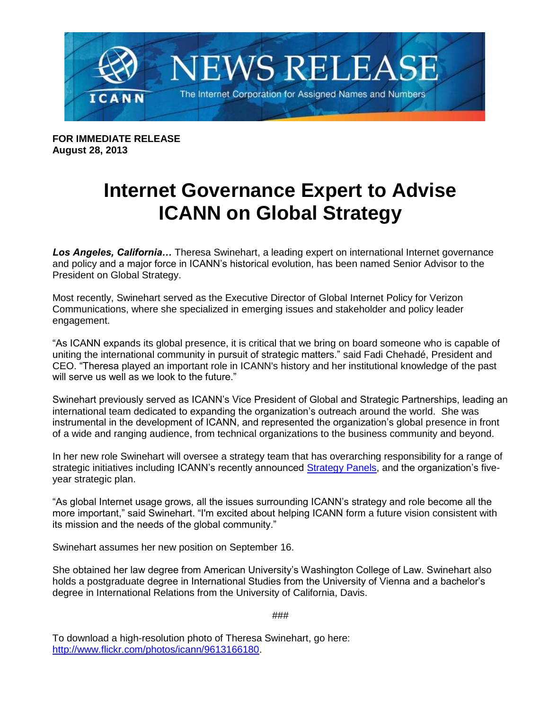

**FOR IMMEDIATE RELEASE August 28, 2013**

## **Internet Governance Expert to Advise ICANN on Global Strategy**

*Los Angeles, California…* Theresa Swinehart, a leading expert on international Internet governance and policy and a major force in ICANN's historical evolution, has been named Senior Advisor to the President on Global Strategy.

Most recently, Swinehart served as the Executive Director of Global Internet Policy for Verizon Communications, where she specialized in emerging issues and stakeholder and policy leader engagement.

"As ICANN expands its global presence, it is critical that we bring on board someone who is capable of uniting the international community in pursuit of strategic matters." said Fadi Chehadé, President and CEO. "Theresa played an important role in ICANN's history and her institutional knowledge of the past will serve us well as we look to the future."

Swinehart previously served as ICANN's Vice President of Global and Strategic Partnerships, leading an international team dedicated to expanding the organization's outreach around the world. She was instrumental in the development of ICANN, and represented the organization's global presence in front of a wide and ranging audience, from technical organizations to the business community and beyond.

In her new role Swinehart will oversee a strategy team that has overarching responsibility for a range of strategic initiatives including ICANN's recently announced [Strategy Panels,](http://www.icann.org/en/news/announcements/announcement-15jul13-en.htm) and the organization's fiveyear strategic plan.

"As global Internet usage grows, all the issues surrounding ICANN's strategy and role become all the more important," said Swinehart. "I'm excited about helping ICANN form a future vision consistent with its mission and the needs of the global community."

Swinehart assumes her new position on September 16.

She obtained her law degree from American University's Washington College of Law. Swinehart also holds a postgraduate degree in International Studies from the University of Vienna and a bachelor's degree in International Relations from the University of California, Davis.

###

To download a high-resolution photo of Theresa Swinehart, go here: [http://www.flickr.com/photos/icann/9613166180.](http://www.flickr.com/photos/icann/9613166180)